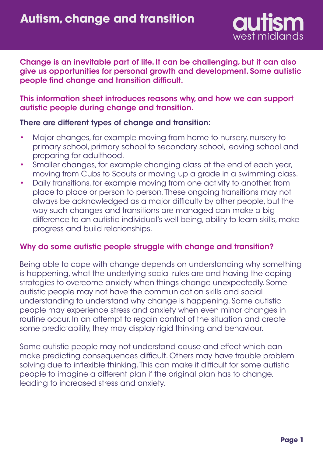

Change is an inevitable part of life. It can be challenging, but it can also give us opportunities for personal growth and development. Some autistic people find change and transition difficult.

This information sheet introduces reasons why, and how we can support autistic people during change and transition.

## There are different types of change and transition:

- Major changes, for example moving from home to nursery, nursery to primary school, primary school to secondary school, leaving school and preparing for adulthood. •
- Smaller changes, for example changing class at the end of each year, moving from Cubs to Scouts or moving up a grade in a swimming class. •
- Daily transitions, for example moving from one activity to another, from place to place or person to person. These ongoing transitions may not always be acknowledged as a major difficulty by other people, but the way such changes and transitions are managed can make a big difference to an autistic individual's well-being, ability to learn skills, make progress and build relationships. •

## Why do some autistic people struggle with change and transition?

Being able to cope with change depends on understanding why something is happening, what the underlying social rules are and having the coping strategies to overcome anxiety when things change unexpectedly. Some autistic people may not have the communication skills and social understanding to understand why change is happening. Some autistic people may experience stress and anxiety when even minor changes in routine occur. In an attempt to regain control of the situation and create some predictability, they may display rigid thinking and behaviour.

Some autistic people may not understand cause and effect which can make predicting consequences difficult. Others may have trouble problem solving due to inflexible thinking. This can make it difficult for some autistic people to imagine a different plan if the original plan has to change, leading to increased stress and anxiety.